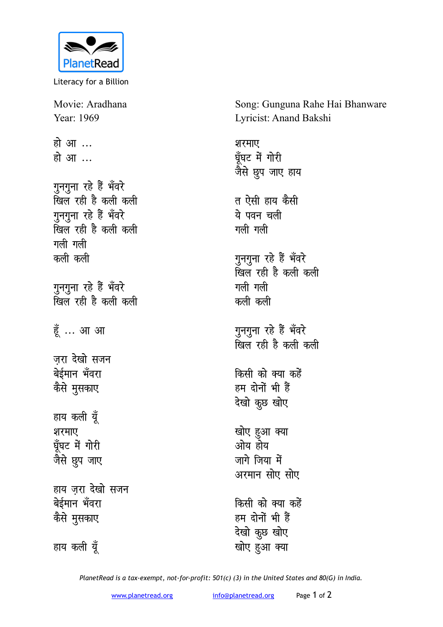

Literacy for a Billion

Movie: Aradhana Year: 1969

हो आ<sup>...</sup> **हो आ** 

गुनगुना रहे हैं भँवरे <u>खिल रही है कली कली</u> गुनगुना रहे हैं भँवरे <u>खिल रही है कली कली</u> **गली** गली कली कली

गुनगुना रहे हैं भँवरे उ<br>खिल रही है कली कली

हूँ ... आ आ

जरा देखो **सज**न बेईमान<sup>अँ</sup>वरा कैसे मुसकाए

हाय कली यूँ शरमाए घँघट में गोरी <u>जैसे छू</u>प जाए

हाय जरा देखो सजन बेईमान भँवरा कैसे मुसकाए

हाय कली यूँ

Song: Gunguna Rahe Hai Bhanware Lyricist: Anand Bakshi

शरमाए घूँघट में गोरी <u>जैसे छु</u>प जाए हाय त ऐसी हाय कैसी ये पवन चली **गली** गली गुनगुना रहे हैं भँवरे **f[ky jgh gS dyh dyh गली** गली कली कली गुनगुना रहे हैं भँवरे <u>खिल</u> रही है कली कली **किसी को क्या कहें** हम दोनों भी हैं **देखो** कूछ खोए खोए हुआ क्या ओय होय

जागे जिया में अरमान सोए सोए

किसी को क्या कहें हम दोनों भी हैं **देखो** कुछ खोए खोए हुआ क्या

*PlanetRead is a tax-exempt, not-for-profit: 501(c) (3) in the United States and 80(G) in India.*